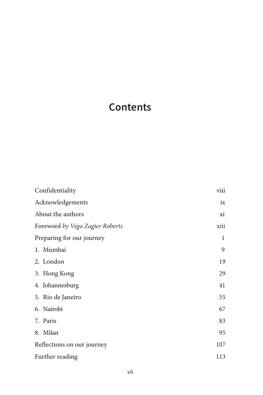# **Contents**

| Confidentiality                 | viii |
|---------------------------------|------|
| Acknowledgements                | ix   |
| About the authors               | xi   |
| Foreword by Vega Zagier Roberts | xiii |
| Preparing for our journey       | 1    |
| 1. Mumbai                       | 9    |
| 2. London                       | 19   |
| 3. Hong Kong                    | 29   |
| 4. Johannesburg                 | 41   |
| 5. Rio de Janeiro               | 55   |
| 6. Nairobi                      | 67   |
| 7. Paris                        | 83   |
| 8. Milan                        | 95   |
| Reflections on our journey      | 107  |
| Further reading                 | 113  |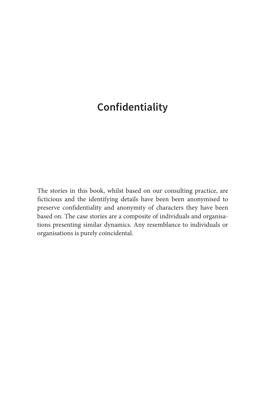## <span id="page-1-0"></span>**Confidentiality**

The stories in this book, whilst based on our consulting practice, are ficticious and the identifying details have been been anonymised to preserve confidentiality and anonymity of characters they have been based on. The case stories are a composite of individuals and organisations presenting similar dynamics. Any resemblance to individuals or organisations is purely coincidental.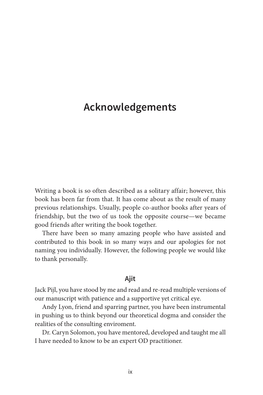## <span id="page-2-0"></span>**Acknowledgements**

Writing a book is so often described as a solitary affair; however, this book has been far from that. It has come about as the result of many previous relationships. Usually, people co-author books after years of friendship, but the two of us took the opposite course—we became good friends after writing the book together.

There have been so many amazing people who have assisted and contributed to this book in so many ways and our apologies for not naming you individually. However, the following people we would like to thank personally.

#### **Ajit**

Jack Pijl, you have stood by me and read and re-read multiple versions of our manuscript with patience and a supportive yet critical eye.

Andy Lyon, friend and sparring partner, you have been instrumental in pushing us to think beyond our theoretical dogma and consider the realities of the consulting enviroment.

Dr. Caryn Solomon, you have mentored, developed and taught me all I have needed to know to be an expert OD practitioner.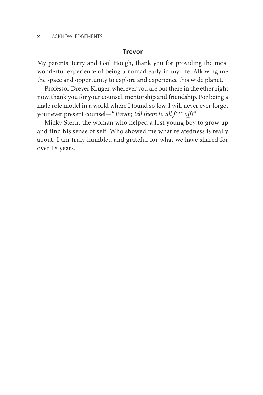#### **Trevor**

My parents Terry and Gail Hough, thank you for providing the most wonderful experience of being a nomad early in my life. Allowing me the space and opportunity to explore and experience this wide planet.

Professor Dreyer Kruger, wherever you are out there in the ether right now, thank you for your counsel, mentorship and friendship. For being a male role model in a world where I found so few. I will never ever forget your ever present counsel—"*Trevor, tell them to all f\*\*\* off!*"

Micky Stern, the woman who helped a lost young boy to grow up and find his sense of self. Who showed me what relatedness is really about. I am truly humbled and grateful for what we have shared for over 18 years.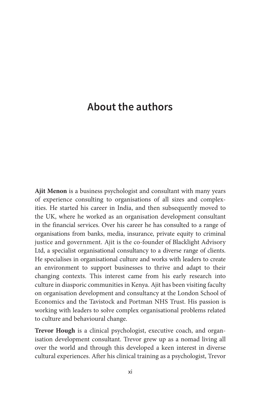## <span id="page-4-0"></span>**About the authors**

**Ajit Menon** is a business psychologist and consultant with many years of experience consulting to organisations of all sizes and complexities. He started his career in India, and then subsequently moved to the UK, where he worked as an organisation development consultant in the financial services. Over his career he has consulted to a range of organisations from banks, media, insurance, private equity to criminal justice and government. Ajit is the co-founder of Blacklight Advisory Ltd, a specialist organisational consultancy to a diverse range of clients. He specialises in organisational culture and works with leaders to create an environment to support businesses to thrive and adapt to their changing contexts. This interest came from his early research into culture in diasporic communities in Kenya. Ajit has been visiting faculty on organisation development and consultancy at the London School of Economics and the Tavistock and Portman NHS Trust. His passion is working with leaders to solve complex organisational problems related to culture and behavioural change.

**Trevor Hough** is a clinical psychologist, executive coach, and organisation development consultant. Trevor grew up as a nomad living all over the world and through this developed a keen interest in diverse cultural experiences. After his clinical training as a psychologist, Trevor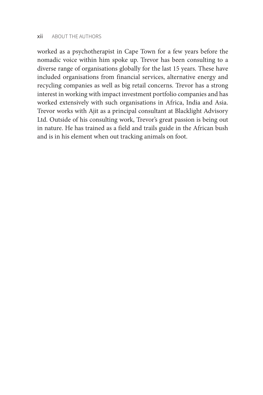worked as a psychotherapist in Cape Town for a few years before the nomadic voice within him spoke up. Trevor has been consulting to a diverse range of organisations globally for the last 15 years. These have included organisations from financial services, alternative energy and recycling companies as well as big retail concerns. Trevor has a strong interest in working with impact investment portfolio companies and has worked extensively with such organisations in Africa, India and Asia. Trevor works with Ajit as a principal consultant at Blacklight Advisory Ltd. Outside of his consulting work, Trevor's great passion is being out in nature. He has trained as a field and trails guide in the African bush and is in his element when out tracking animals on foot.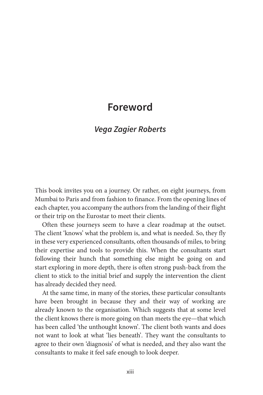### <span id="page-6-0"></span>**Foreword**

### *Vega Zagier Roberts*

This book invites you on a journey. Or rather, on eight journeys, from Mumbai to Paris and from fashion to finance. From the opening lines of each chapter, you accompany the authors from the landing of their flight or their trip on the Eurostar to meet their clients.

Often these journeys seem to have a clear roadmap at the outset. The client 'knows' what the problem is, and what is needed. So, they fly in these very experienced consultants, often thousands of miles, to bring their expertise and tools to provide this. When the consultants start following their hunch that something else might be going on and start exploring in more depth, there is often strong push-back from the client to stick to the initial brief and supply the intervention the client has already decided they need.

At the same time, in many of the stories, these particular consultants have been brought in because they and their way of working are already known to the organisation. Which suggests that at some level the client knows there is more going on than meets the eye—that which has been called 'the unthought known'. The client both wants and does not want to look at what 'lies beneath'. They want the consultants to agree to their own 'diagnosis' of what is needed, and they also want the consultants to make it feel safe enough to look deeper.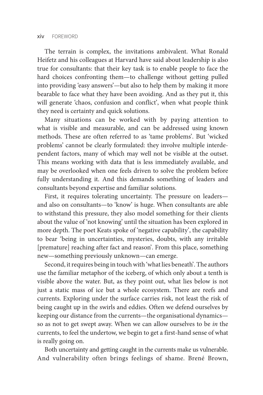The terrain is complex, the invitations ambivalent. What Ronald Heifetz and his colleagues at Harvard have said about leadership is also true for consultants: that their key task is to enable people to face the hard choices confronting them—to challenge without getting pulled into providing 'easy answers'—but also to help them by making it more bearable to face what they have been avoiding. And as they put it, this will generate 'chaos, confusion and conflict', when what people think they need is certainty and quick solutions.

Many situations can be worked with by paying attention to what is visible and measurable, and can be addressed using known methods. These are often referred to as 'tame problems'. But 'wicked problems' cannot be clearly formulated: they involve multiple interdependent factors, many of which may well not be visible at the outset. This means working with data that is less immediately available, and may be overlooked when one feels driven to solve the problem before fully understanding it. And this demands something of leaders and consultants beyond expertise and familiar solutions.

First, it requires tolerating uncertainty. The pressure on leaders and also on consultants—to 'know' is huge. When consultants are able to withstand this pressure, they also model something for their clients about the value of 'not knowing' until the situation has been explored in more depth. The poet Keats spoke of 'negative capability', the capability to bear 'being in uncertainties, mysteries, doubts, with any irritable [premature] reaching after fact and reason'. From this place, something new—something previously unknown—can emerge.

Second, it requires being in touch with 'what lies beneath'. The authors use the familiar metaphor of the iceberg, of which only about a tenth is visible above the water. But, as they point out, what lies below is not just a static mass of ice but a whole ecosystem. There are reefs and currents. Exploring under the surface carries risk, not least the risk of being caught up in the swirls and eddies. Often we defend ourselves by keeping our distance from the currents—the organisational dynamics so as not to get swept away. When we can allow ourselves to be *in* the currents, to feel the undertow, we begin to get a first-hand sense of what is really going on.

Both uncertainty and getting caught in the currents make us vulnerable. And vulnerability often brings feelings of shame. Brené Brown,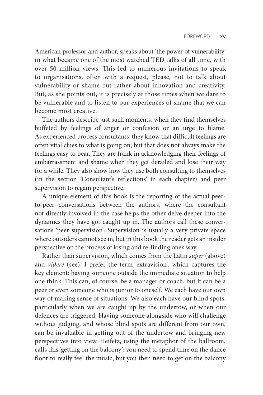American professor and author, speaks about 'the power of vulnerability' in what became one of the most watched TED talks of all time, with over 50 million views. This led to numerous invitations to speak to organisations, often with a request, please, not to talk about vulnerability or shame but rather about innovation and creativity. But, as she points out, it is precisely at those times when we dare to be vulnerable and to listen to our experiences of shame that we can become most creative.

The authors describe just such moments, when they find themselves buffeted by feelings of anger or confusion or an urge to blame. As experienced process consultants, they know that difficult feelings are often vital clues to what is going on, but that does not always make the feelings easy to bear. They are frank in acknowledging their feelings of embarrassment and shame when they get derailed and lose their way for a while. They also show how they use both consulting to themselves (in the section 'Consultant's reflections' in each chapter) and peer supervision to regain perspective.

A unique element of this book is the reporting of the actual peerto-peer conversations between the authors, where the consultant not directly involved in the case helps the other delve deeper into the dynamics they have got caught up in. The authors call these conversations 'peer supervision'. Supervision is usually a very private space where outsiders cannot see in, but in this book the reader gets an insider perspective on the process of losing and re-finding one's way.

Rather than supervision, which comes from the Latin *super* (above) and *videre* (see), I prefer the term 'extravision', which captures the key element: having someone outside the immediate situation to help one think. This can, of course, be a manager or coach, but it can be a peer or even someone who is junior to oneself. We each have our own way of making sense of situations. We also each have our blind spots, particularly when we are caught up by the undertow, or when our defences are triggered. Having someone alongside who will challenge without judging, and whose blind spots are different from our own, can be invaluable in getting out of the undertow and bringing new perspectives into view. Heifetz, using the metaphor of the ballroom, calls this 'getting on the balcony': you need to spend time on the dance floor to really feel the music, but you then need to get on the balcony